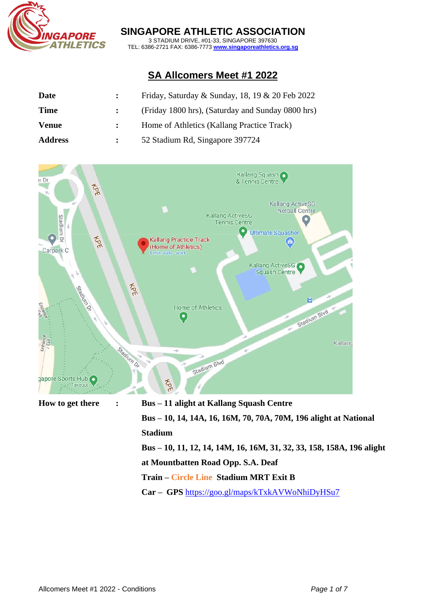

### **SINGAPORE ATHLETIC ASSOCIATION**

3 STADIUM DRIVE, #01-33, SINGAPORE 397630 TEL: 6386-2721 FAX: 6386-7773 **[www.singaporeathletics.org.sg](http://www.singaporeathletics.org.sg/)**

# **SA Allcomers Meet #1 2022**

| Date           | Friday, Saturday & Sunday, 18, 19 & 20 Feb 2022   |
|----------------|---------------------------------------------------|
| <b>Time</b>    | (Friday 1800 hrs), (Saturday and Sunday 0800 hrs) |
| <b>Venue</b>   | Home of Athletics (Kallang Practice Track)        |
| <b>Address</b> | 52 Stadium Rd, Singapore 397724                   |



**at Mountbatten Road Opp. S.A. Deaf**

# **Train – Circle Line Stadium MRT Exit B**

**Car – GPS** <https://goo.gl/maps/kTxkAVWoNhiDyHSu7>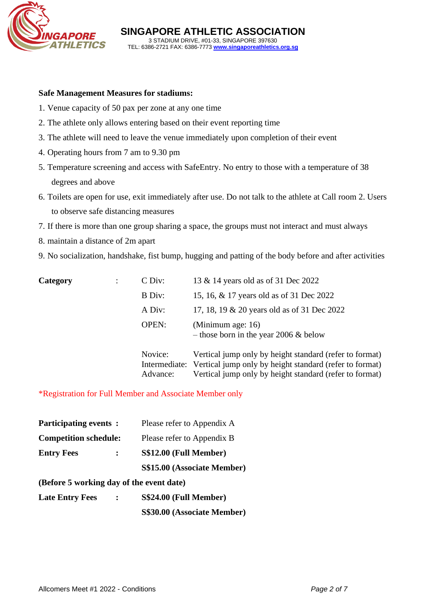

#### **Safe Management Measures for stadiums:**

- 1. Venue capacity of 50 pax per zone at any one time
- 2. The athlete only allows entering based on their event reporting time
- 3. The athlete will need to leave the venue immediately upon completion of their event
- 4. Operating hours from 7 am to 9.30 pm
- 5. Temperature screening and access with SafeEntry. No entry to those with a temperature of 38 degrees and above
- 6. Toilets are open for use, exit immediately after use. Do not talk to the athlete at Call room 2. Users to observe safe distancing measures
- 7. If there is more than one group sharing a space, the groups must not interact and must always
- 8. maintain a distance of 2m apart
- 9. No socialization, handshake, fist bump, hugging and patting of the body before and after activities

| Category | CDiv:        | 13 & 14 years old as of 31 Dec 2022                                   |
|----------|--------------|-----------------------------------------------------------------------|
|          | B Div:       | 15, 16, & 17 years old as of 31 Dec 2022                              |
|          | A Div:       | 17, 18, 19 & 20 years old as of 31 Dec 2022                           |
|          | <b>OPEN:</b> | (Minimum age: 16)<br>- those born in the year 2006 $&$ below          |
|          | Novice:      | Vertical jump only by height standard (refer to format)               |
|          |              | Intermediate: Vertical jump only by height standard (refer to format) |
|          | Advance:     | Vertical jump only by height standard (refer to format)               |

\*Registration for Full Member and Associate Member only

| <b>Participating events:</b>             | Please refer to Appendix A  |
|------------------------------------------|-----------------------------|
| <b>Competition schedule:</b>             | Please refer to Appendix B  |
| <b>Entry Fees</b><br>$\mathbf{L}$        | S\$12.00 (Full Member)      |
|                                          | S\$15.00 (Associate Member) |
| (Before 5 working day of the event date) |                             |

- **(Before 5 working day of the event date)**
- **Late Entry Fees : S\$24.00 (Full Member)**

**S\$30.00 (Associate Member)**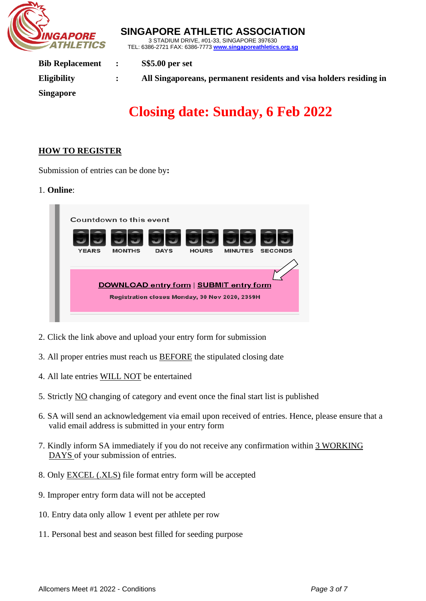

3 STADIUM DRIVE, #01-33, SINGAPORE 397630 TEL: 6386-2721 FAX: 6386-7773 **[www.singaporeathletics.org.sg](http://www.singaporeathletics.org.sg/) Bib Replacement : S\$5.00 per set Eligibility : All Singaporeans, permanent residents and visa holders residing in Singapore**

**SINGAPORE ATHLETIC ASSOCIATION**

# **Closing date: Sunday, 6 Feb 2022**

#### **HOW TO REGISTER**

Submission of entries can be done by**:** 

#### 1. **Online**:



- 2. Click the link above and upload your entry form for submission
- 3. All proper entries must reach us BEFORE the stipulated closing date
- 4. All late entries WILL NOT be entertained
- 5. Strictly NO changing of category and event once the final start list is published
- 6. SA will send an acknowledgement via email upon received of entries. Hence, please ensure that a valid email address is submitted in your entry form
- 7. Kindly inform SA immediately if you do not receive any confirmation within 3 WORKING DAYS of your submission of entries.
- 8. Only EXCEL (.XLS) file format entry form will be accepted
- 9. Improper entry form data will not be accepted
- 10. Entry data only allow 1 event per athlete per row
- 11. Personal best and season best filled for seeding purpose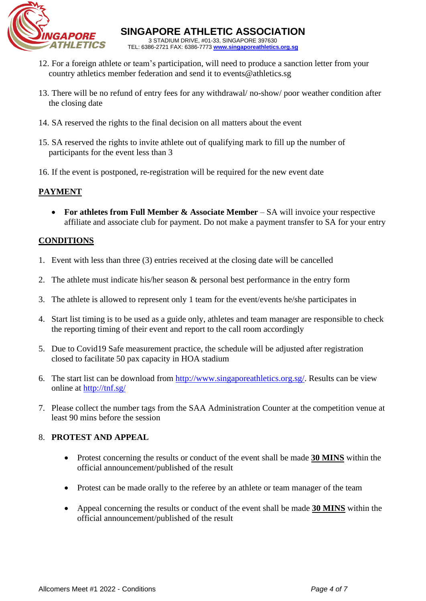

- 12. For a foreign athlete or team's participation, will need to produce a sanction letter from your country athletics member federation and send it to [events@athletics.sg](mailto:events@athletics.sg)
- 13. There will be no refund of entry fees for any withdrawal/ no-show/ poor weather condition after the closing date
- 14. SA reserved the rights to the final decision on all matters about the event
- 15. SA reserved the rights to invite athlete out of qualifying mark to fill up the number of participants for the event less than 3
- 16. If the event is postponed, re-registration will be required for the new event date

# **PAYMENT**

• **For athletes from Full Member & Associate Member** – SA will invoice your respective affiliate and associate club for payment. Do not make a payment transfer to SA for your entry

# **CONDITIONS**

- 1. Event with less than three (3) entries received at the closing date will be cancelled
- 2. The athlete must indicate his/her season & personal best performance in the entry form
- 3. The athlete is allowed to represent only 1 team for the event/events he/she participates in
- 4. Start list timing is to be used as a guide only, athletes and team manager are responsible to check the reporting timing of their event and report to the call room accordingly
- 5. Due to Covid19 Safe measurement practice, the schedule will be adjusted after registration closed to facilitate 50 pax capacity in HOA stadium
- 6. The start list can be download from [http://www.singaporeathletics.org.sg/.](http://www.singaporeathletics.org.sg/) Results can be view online at <http://tnf.sg/>
- 7. Please collect the number tags from the SAA Administration Counter at the competition venue at least 90 mins before the session

#### 8. **PROTEST AND APPEAL**

- Protest concerning the results or conduct of the event shall be made **30 MINS** within the official announcement/published of the result
- Protest can be made orally to the referee by an athlete or team manager of the team
- Appeal concerning the results or conduct of the event shall be made **30 MINS** within the official announcement/published of the result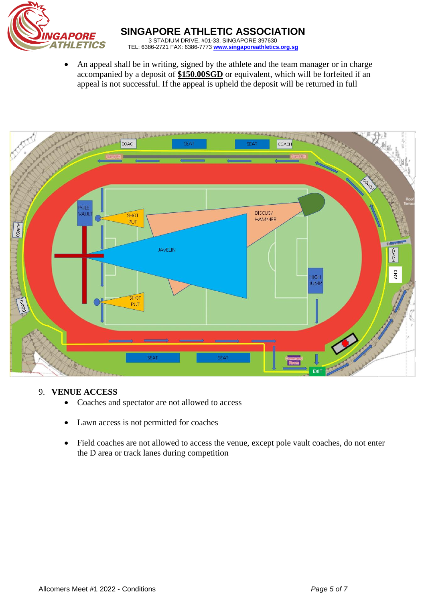

• An appeal shall be in writing, signed by the athlete and the team manager or in charge accompanied by a deposit of **\$150.00SGD** or equivalent, which will be forfeited if an appeal is not successful. If the appeal is upheld the deposit will be returned in full



#### 9. **VENUE ACCESS**

- Coaches and spectator are not allowed to access
- Lawn access is not permitted for coaches
- Field coaches are not allowed to access the venue, except pole vault coaches, do not enter the D area or track lanes during competition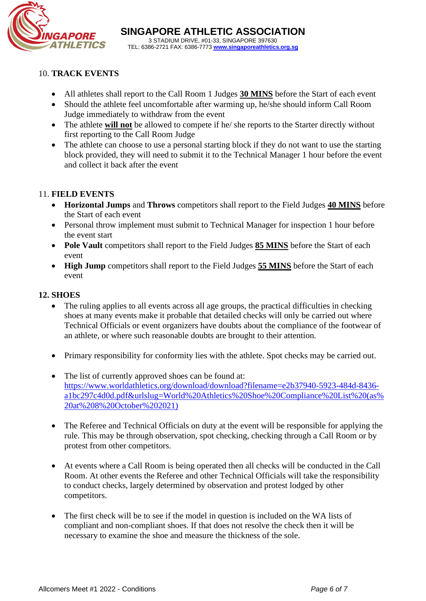

# 10. **TRACK EVENTS**

- All athletes shall report to the Call Room 1 Judges **30 MINS** before the Start of each event
- Should the athlete feel uncomfortable after warming up, he/she should inform Call Room Judge immediately to withdraw from the event
- The athlete **will not** be allowed to compete if he/ she reports to the Starter directly without first reporting to the Call Room Judge
- The athlete can choose to use a personal starting block if they do not want to use the starting block provided, they will need to submit it to the Technical Manager 1 hour before the event and collect it back after the event

# 11. **FIELD EVENTS**

- **Horizontal Jumps** and **Throws** competitors shall report to the Field Judges **40 MINS** before the Start of each event
- Personal throw implement must submit to Technical Manager for inspection 1 hour before the event start
- **Pole Vault** competitors shall report to the Field Judges **85 MINS** before the Start of each event
- **High Jump** competitors shall report to the Field Judges **55 MINS** before the Start of each event

### **12. SHOES**

- The ruling applies to all events across all age groups, the practical difficulties in checking shoes at many events make it probable that detailed checks will only be carried out where Technical Officials or event organizers have doubts about the compliance of the footwear of an athlete, or where such reasonable doubts are brought to their attention.
- Primary responsibility for conformity lies with the athlete. Spot checks may be carried out.
- The list of currently approved shoes can be found at: [https://www.worldathletics.org/download/download?filename=e2b37940-5923-484d-8436](https://www.worldathletics.org/download/download?filename=e2b37940-5923-484d-8436-a1bc297c4d0d.pdf&urlslug=World%20Athletics%20Shoe%20Compliance%20List%20(as%20at%208%20October%202021)) [a1bc297c4d0d.pdf&urlslug=World%20Athletics%20Shoe%20Compliance%20List%20\(as%](https://www.worldathletics.org/download/download?filename=e2b37940-5923-484d-8436-a1bc297c4d0d.pdf&urlslug=World%20Athletics%20Shoe%20Compliance%20List%20(as%20at%208%20October%202021)) [20at%208%20October%202021\)](https://www.worldathletics.org/download/download?filename=e2b37940-5923-484d-8436-a1bc297c4d0d.pdf&urlslug=World%20Athletics%20Shoe%20Compliance%20List%20(as%20at%208%20October%202021))
- The Referee and Technical Officials on duty at the event will be responsible for applying the rule. This may be through observation, spot checking, checking through a Call Room or by protest from other competitors.
- At events where a Call Room is being operated then all checks will be conducted in the Call Room. At other events the Referee and other Technical Officials will take the responsibility to conduct checks, largely determined by observation and protest lodged by other competitors.
- The first check will be to see if the model in question is included on the WA lists of compliant and non-compliant shoes. If that does not resolve the check then it will be necessary to examine the shoe and measure the thickness of the sole.